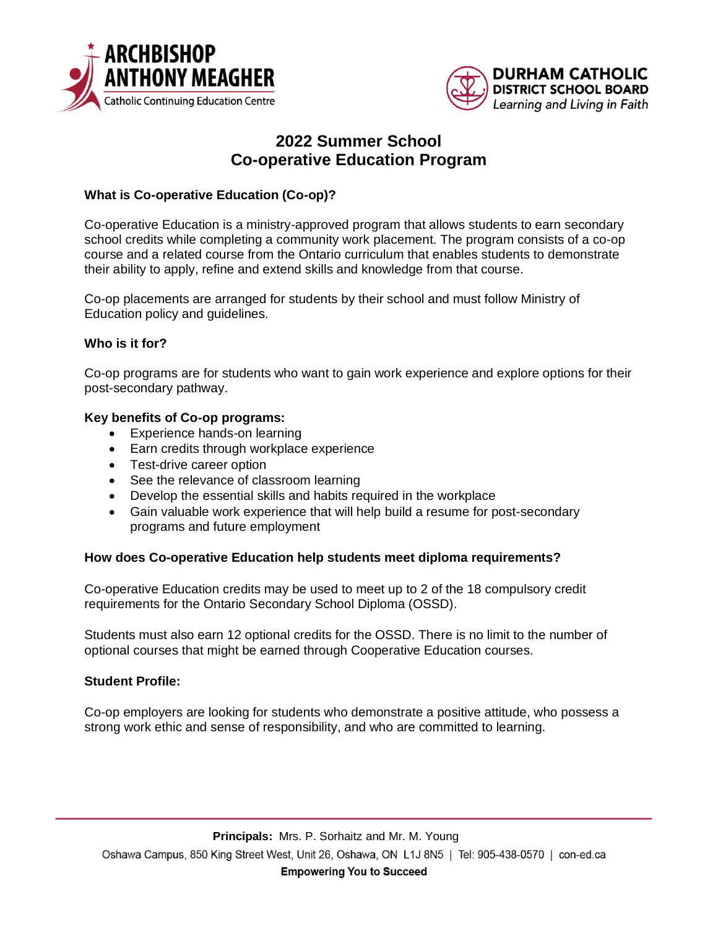



# **2022 Summer School Co-operative Education Program**

# **What is Co-operative Education (Co-op)?**

Co-operative Education is a ministry-approved program that allows students to earn secondary school credits while completing a community work placement. The program consists of a co-op course and a related course from the Ontario curriculum that enables students to demonstrate their ability to apply, refine and extend skills and knowledge from that course.

Co-op placements are arranged for students by their school and must follow Ministry of Education policy and guidelines.

## **Who is it for?**

Co-op programs are for students who want to gain work experience and explore options for their post-secondary pathway.

### **Key benefits of Co-op programs:**

- Experience hands-on learning
- Earn credits through workplace experience
- Test-drive career option
- See the relevance of classroom learning
- Develop the essential skills and habits required in the workplace
- Gain valuable work experience that will help build a resume for post-secondary programs and future employment

#### **How does Co-operative Education help students meet diploma requirements?**

Co-operative Education credits may be used to meet up to 2 of the 18 compulsory credit requirements for the Ontario Secondary School Diploma (OSSD).

Students must also earn 12 optional credits for the OSSD. There is no limit to the number of optional courses that might be earned through Cooperative Education courses.

## **Student Profile:**

Co-op employers are looking for students who demonstrate a positive attitude, who possess a strong work ethic and sense of responsibility, and who are committed to learning.